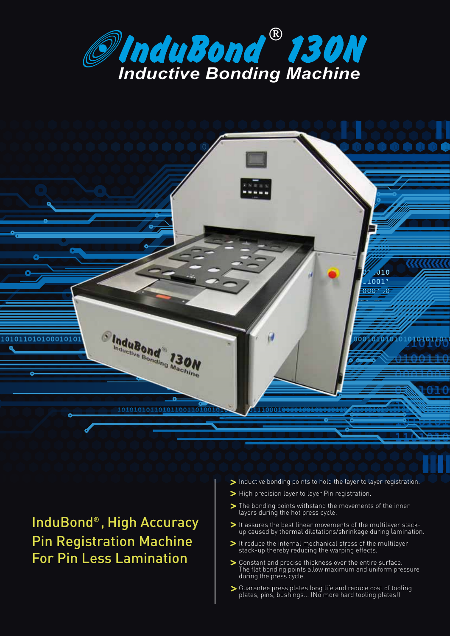



### InduBond® , High Accuracy Pin Registration Machine For Pin Less Lamination

- Inductive bonding points to hold the layer to layer registration.
- > High precision layer to layer Pin registration.
- The bonding points withstand the movements of the inner layers during the hot press cycle.
- It assures the best linear movements of the multilayer stackup caused by thermal dilatations/shrinkage during lamination.
- It reduce the internal mechanical stress of the multilayer stack-up thereby reducing the warping effects.
- Constant and precise thickness over the entire surface. The flat bonding points allow maximum and uniform pressure during the press cycle.
- Guarantee press plates long life and reduce cost of tooling plates, pins, bushings... (No more hard tooling plates!)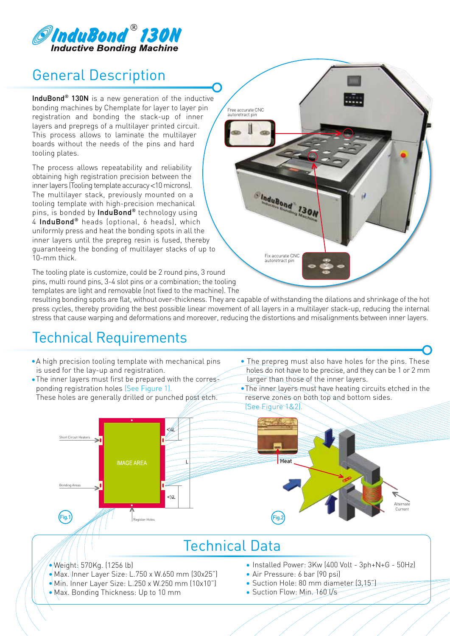

## General Description

InduBond<sup>®</sup> 130N is a new generation of the inductive bonding machines by Chemplate for layer to layer pin registration and bonding the stack-up of inner layers and prepregs of a multilayer printed circuit. This process allows to laminate the multilayer boards without the needs of the pins and hard tooling plates.

The process allows repeatability and reliability obtaining high registration precision between the inner layers (Tooling template accuracy <10 microns). The multilayer stack, previously mounted on a tooling template with high-precision mechanical pins, is bonded by InduBond® technology using 4 InduBond® heads (optional, 6 heads), which uniformly press and heat the bonding spots in all the inner layers until the prepreg resin is fused, thereby guaranteeing the bonding of multilayer stacks of up to 10-mm thick.

The tooling plate is customize, could be 2 round pins, 3 round pins, multi round pins, 3-4 slot pins or a combination; the tooling templates are light and removable (not fixed to the machine). The

resulting bonding spots are flat, without over-thickness. They are capable of withstanding the dilations and shrinkage of the hot press cycles, thereby providing the best possible linear movement of all layers in a multilayer stack-up, reducing the internal stress that cause warping and deformations and moreover, reducing the distortions and misalignments between inner layers.

Fix accurate CNC autoretract pin

**Cladubond 130N** 

Free accurate CNC autoretract pin

### Technical Requirements

- A high precision tooling template with mechanical pins is used for the lay-up and registration.
- The inner layers must first be prepared with the corres ponding registration holes (See Figure 1). These holes are generally drilled or punched post etch.
- The prepreg must also have holes for the pins. These holes do not have to be precise, and they can be 1 or 2 mm larger than those of the inner layers.

 The inner layers must have heating circuits etched in the reserve zones on both top and bottom sides.



#### Technical Data

- ∣ •\Mi\. Inner Layer Size: L.250 x W.250 mm (10x10")  $\sqrt{\frac{1}{2}}$ Weight $\frac{1}{2}$ 570Kg. (1256 lb) Max. Inner Layer Size: L.750 x W.650 mm (30x25")
	- Max. Bonding Thickness: Up to 10 mm
- Installed Power: 3Kw (400 Volt 3ph+N+G 50Hz)
- Air Pressure: 6 bar (90 psi)
- Suction Hole: 80 mm diameter (3,15")
- Suction Flow: Min-160 Vs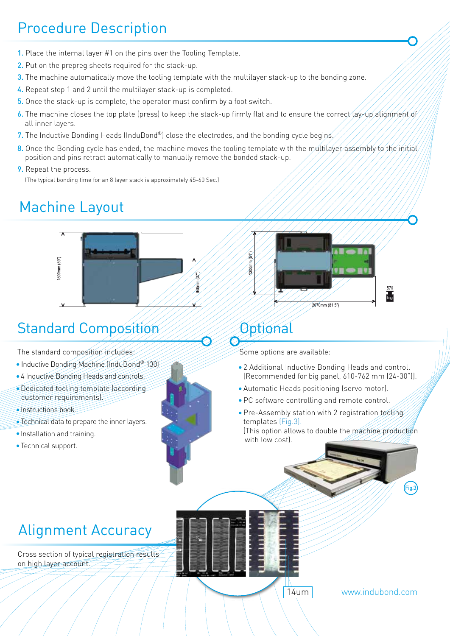# Procedure Description

- 1. Place the internal layer #1 on the pins over the Tooling Template.
- 2. Put on the prepreg sheets required for the stack-up.
- 3. The machine automatically move the tooling template with the multilayer stack-up to the bonding zone.
- 4. Repeat step 1 and 2 until the multilayer stack-up is completed.
- 5. Once the stack-up is complete, the operator must confirm by a foot switch.
- 6. The machine closes the top plate (press) to keep the stack-up firmly flat and to ensure the correct (ay-up alignment of all inner layers.
- 7. The Inductive Bonding Heads (InduBond®) close the electrodes, and the bonding cycle begins
- 8. Once the Bonding cycle has ended, the machine moves the tooling template with the multilaver assembly to the initial position and pins retract automatically to manually remove the bonded stack-up.
- **9.** Repeat the process.

(The typical bonding time for an 8 layer stack is approximately 45-60 Sec.)

## Machine Layout



## Standard Composition

The standard composition includes

- Inductive Bonding Machine (InduBond® 130)
- 4 Inductive Bonding Heads and controls.
- Dedicated tooling template (according customer requirements).
- **Instructions book**
- Technical data to prepare the inner layers.
- **Installation and training.**
- Technical support.





Some options are available:

Optional

- 2 Additional Inductive Bonding Heads and control. [Recommended for big panel, 610-762 mm (24-30")].
- Automatic Heads positioning (servo motor).
- PC software controlling and remote control.

14um

- Pre-Assembly station with 2 registration tooling templates (Fig.3).
	- (This option allows to double the machine production with low cost).

## Alignment Accuracy

Cross section of typical registration results on high layer account.

www.indubond.com

Fig.3